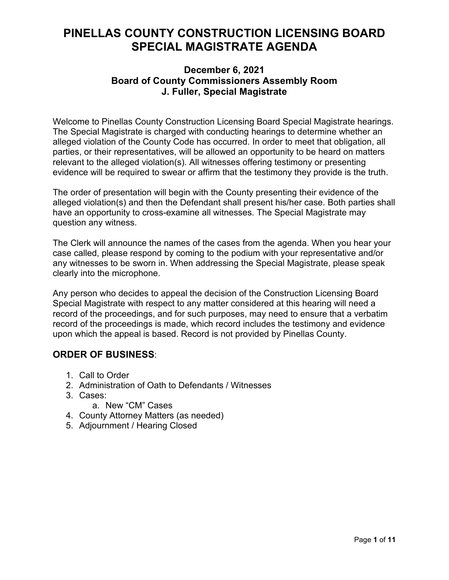# **PINELLAS COUNTY CONSTRUCTION LICENSING BOARD SPECIAL MAGISTRATE AGENDA**

### **December 6, 2021 Board of County Commissioners Assembly Room J. Fuller, Special Magistrate**

Welcome to Pinellas County Construction Licensing Board Special Magistrate hearings. The Special Magistrate is charged with conducting hearings to determine whether an alleged violation of the County Code has occurred. In order to meet that obligation, all parties, or their representatives, will be allowed an opportunity to be heard on matters relevant to the alleged violation(s). All witnesses offering testimony or presenting evidence will be required to swear or affirm that the testimony they provide is the truth.

The order of presentation will begin with the County presenting their evidence of the alleged violation(s) and then the Defendant shall present his/her case. Both parties shall have an opportunity to cross-examine all witnesses. The Special Magistrate may question any witness.

The Clerk will announce the names of the cases from the agenda. When you hear your case called, please respond by coming to the podium with your representative and/or any witnesses to be sworn in. When addressing the Special Magistrate, please speak clearly into the microphone.

Any person who decides to appeal the decision of the Construction Licensing Board Special Magistrate with respect to any matter considered at this hearing will need a record of the proceedings, and for such purposes, may need to ensure that a verbatim record of the proceedings is made, which record includes the testimony and evidence upon which the appeal is based. Record is not provided by Pinellas County.

## **ORDER OF BUSINESS**:

- 1. Call to Order
- 2. Administration of Oath to Defendants / Witnesses
- 3. Cases:
	- a. New "CM" Cases
- 4. County Attorney Matters (as needed)
- 5. Adjournment / Hearing Closed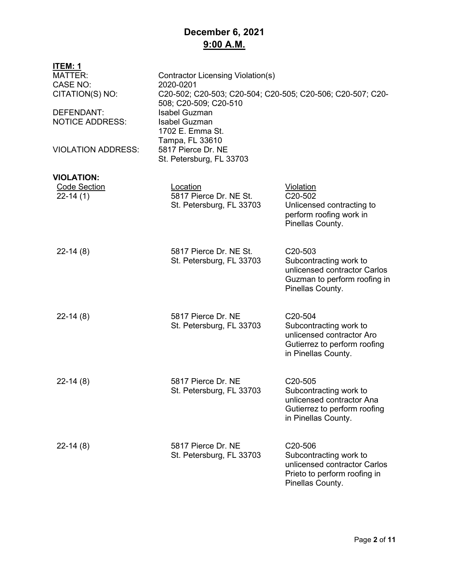# **December 6, 2021 9:00 A.M.**

| ITEM: 1                   |                                                                                     |                                                  |  |
|---------------------------|-------------------------------------------------------------------------------------|--------------------------------------------------|--|
| <b>MATTER:</b>            | <b>Contractor Licensing Violation(s)</b>                                            |                                                  |  |
| <b>CASE NO:</b>           | 2020-0201                                                                           |                                                  |  |
| CITATION(S) NO:           | C20-502; C20-503; C20-504; C20-505; C20-506; C20-507; C20-<br>508; C20-509; C20-510 |                                                  |  |
| DEFENDANT:                | <b>Isabel Guzman</b>                                                                |                                                  |  |
| <b>NOTICE ADDRESS:</b>    | <b>Isabel Guzman</b>                                                                |                                                  |  |
|                           | 1702 E. Emma St.                                                                    |                                                  |  |
|                           | Tampa, FL 33610                                                                     |                                                  |  |
| <b>VIOLATION ADDRESS:</b> | 5817 Pierce Dr. NE                                                                  |                                                  |  |
|                           | St. Petersburg, FL 33703                                                            |                                                  |  |
| <b>VIOLATION:</b>         |                                                                                     |                                                  |  |
| <b>Code Section</b>       | Location                                                                            | Violation                                        |  |
| $22-14(1)$                | 5817 Pierce Dr. NE St.                                                              | C20-502                                          |  |
|                           | St. Petersburg, FL 33703                                                            | Unlicensed contracting to                        |  |
|                           |                                                                                     | perform roofing work in                          |  |
|                           |                                                                                     | Pinellas County.                                 |  |
|                           |                                                                                     |                                                  |  |
| $22-14(8)$                | 5817 Pierce Dr. NE St.                                                              | C <sub>20</sub> -503                             |  |
|                           | St. Petersburg, FL 33703                                                            | Subcontracting work to                           |  |
|                           |                                                                                     | unlicensed contractor Carlos                     |  |
|                           |                                                                                     | Guzman to perform roofing in                     |  |
|                           |                                                                                     | Pinellas County.                                 |  |
|                           |                                                                                     |                                                  |  |
| $22-14(8)$                | 5817 Pierce Dr. NE                                                                  | C20-504                                          |  |
|                           | St. Petersburg, FL 33703                                                            | Subcontracting work to                           |  |
|                           |                                                                                     | unlicensed contractor Aro                        |  |
|                           |                                                                                     | Gutierrez to perform roofing                     |  |
|                           |                                                                                     | in Pinellas County.                              |  |
|                           |                                                                                     |                                                  |  |
| $22-14(8)$                | 5817 Pierce Dr. NE                                                                  | C20-505                                          |  |
|                           | St. Petersburg, FL 33703                                                            | Subcontracting work to                           |  |
|                           |                                                                                     | unlicensed contractor Ana                        |  |
|                           |                                                                                     | Gutierrez to perform roofing                     |  |
|                           |                                                                                     | in Pinellas County.                              |  |
|                           |                                                                                     |                                                  |  |
| $22-14(8)$                | 5817 Pierce Dr. NE                                                                  | C20-506                                          |  |
|                           | St. Petersburg, FL 33703                                                            | Subcontracting work to                           |  |
|                           |                                                                                     | unlicensed contractor Carlos                     |  |
|                           |                                                                                     | Prieto to perform roofing in<br>Pinellas County. |  |
|                           |                                                                                     |                                                  |  |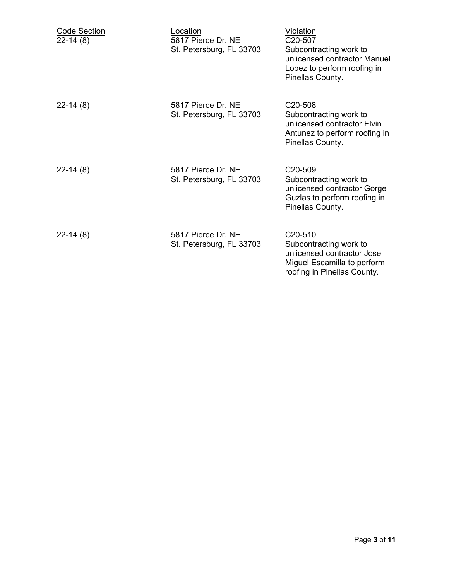| <b>Code Section</b><br>$22-14(8)$ | Location<br>5817 Pierce Dr. NE<br>St. Petersburg, FL 33703 | <b>Violation</b><br>C <sub>20</sub> -507<br>Subcontracting work to<br>unlicensed contractor Manuel<br>Lopez to perform roofing in<br>Pinellas County. |
|-----------------------------------|------------------------------------------------------------|-------------------------------------------------------------------------------------------------------------------------------------------------------|
| $22 - 14(8)$                      | 5817 Pierce Dr. NE<br>St. Petersburg, FL 33703             | C <sub>20</sub> -508<br>Subcontracting work to<br>unlicensed contractor Elvin<br>Antunez to perform roofing in<br>Pinellas County.                    |
| $22-14(8)$                        | 5817 Pierce Dr. NE<br>St. Petersburg, FL 33703             | C <sub>20</sub> -509<br>Subcontracting work to<br>unlicensed contractor Gorge<br>Guzlas to perform roofing in<br>Pinellas County.                     |
| $22-14(8)$                        | 5817 Pierce Dr. NE<br>St. Petersburg, FL 33703             | C <sub>20</sub> -510<br>Subcontracting work to<br>unlicensed contractor Jose<br>Miguel Escamilla to perform<br>roofing in Pinellas County.            |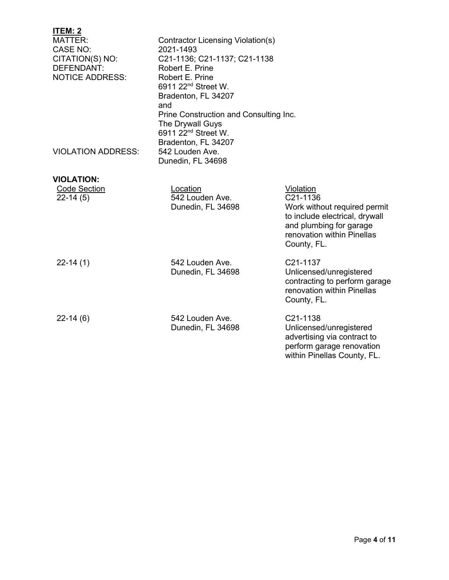| <u>ITEM: 2</u>            |                                        |                                                          |  |
|---------------------------|----------------------------------------|----------------------------------------------------------|--|
| <b>MATTER:</b>            | Contractor Licensing Violation(s)      |                                                          |  |
| CASE NO:                  | 2021-1493                              |                                                          |  |
| CITATION(S) NO:           | C21-1136; C21-1137; C21-1138           |                                                          |  |
| DEFENDANT:                | Robert E. Prine                        |                                                          |  |
| <b>NOTICE ADDRESS:</b>    | Robert E. Prine                        |                                                          |  |
|                           | 6911 22 <sup>nd</sup> Street W.        |                                                          |  |
|                           | Bradenton, FL 34207                    |                                                          |  |
|                           | and                                    |                                                          |  |
|                           | Prine Construction and Consulting Inc. |                                                          |  |
|                           | The Drywall Guys                       |                                                          |  |
|                           | 6911 22 <sup>nd</sup> Street W.        |                                                          |  |
|                           | Bradenton, FL 34207                    |                                                          |  |
| <b>VIOLATION ADDRESS:</b> | 542 Louden Ave.                        |                                                          |  |
|                           | Dunedin, FL 34698                      |                                                          |  |
| <b>VIOLATION:</b>         |                                        |                                                          |  |
| <b>Code Section</b>       | Location                               | Violation                                                |  |
| $22-14(5)$                | 542 Louden Ave.                        | C <sub>21</sub> -1136                                    |  |
|                           | Dunedin, FL 34698                      | Work without required permit                             |  |
|                           |                                        | to include electrical, drywall                           |  |
|                           |                                        | and plumbing for garage                                  |  |
|                           |                                        | renovation within Pinellas                               |  |
|                           |                                        | County, FL.                                              |  |
| $22-14(1)$                | 542 Louden Ave.                        | C21-1137                                                 |  |
|                           | Dunedin, FL 34698                      | Unlicensed/unregistered                                  |  |
|                           |                                        | contracting to perform garage                            |  |
|                           |                                        | renovation within Pinellas                               |  |
|                           |                                        | County, FL.                                              |  |
|                           |                                        |                                                          |  |
| $22-14(6)$                | 542 Louden Ave.                        | C21-1138                                                 |  |
|                           | Dunedin, FL 34698                      | Unlicensed/unregistered<br>advertising via contract to   |  |
|                           |                                        |                                                          |  |
|                           |                                        | perform garage renovation<br>within Pinellas County, FL. |  |
|                           |                                        |                                                          |  |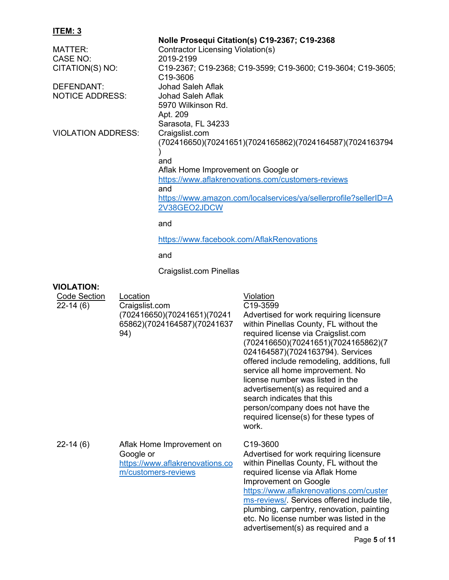| Nolle Prosequi Citation(s) C19-2367; C19-2368                                        |  |  |
|--------------------------------------------------------------------------------------|--|--|
| <b>Contractor Licensing Violation(s)</b>                                             |  |  |
| 2019-2199                                                                            |  |  |
| C19-2367; C19-2368; C19-3599; C19-3600; C19-3604; C19-3605;<br>C <sub>19</sub> -3606 |  |  |
| <b>Johad Saleh Aflak</b>                                                             |  |  |
| <b>Johad Saleh Aflak</b>                                                             |  |  |
| 5970 Wilkinson Rd.                                                                   |  |  |
| Apt. 209                                                                             |  |  |
| Sarasota, FL 34233                                                                   |  |  |
| Craigslist.com                                                                       |  |  |
| (702416650)(70241651)(7024165862)(7024164587)(7024163794                             |  |  |
| and                                                                                  |  |  |
| Aflak Home Improvement on Google or                                                  |  |  |
| https://www.aflakrenovations.com/customers-reviews                                   |  |  |
| and                                                                                  |  |  |
| https://www.amazon.com/localservices/ya/sellerprofile?sellerID=A                     |  |  |
| 2V38GEO2JDCW                                                                         |  |  |
| and                                                                                  |  |  |
| https://www.facebook.com/AflakRenovations                                            |  |  |
| and                                                                                  |  |  |
| Craigslist.com Pinellas                                                              |  |  |
|                                                                                      |  |  |
|                                                                                      |  |  |

| <b>Code Section</b><br>$22-14(6)$ | Location<br>Craigslist.com<br>(702416650)(70241651)(70241<br>65862)(7024164587)(70241637<br>94)  | Violation<br>C19-3599<br>Advertised for work requiring licensure<br>within Pinellas County, FL without the<br>required license via Craigslist.com<br>(702416650)(70241651)(7024165862)(7<br>024164587)(7024163794). Services<br>offered include remodeling, additions, full<br>service all home improvement. No<br>license number was listed in the<br>advertisement(s) as required and a<br>search indicates that this<br>person/company does not have the<br>required license(s) for these types of<br>work. |
|-----------------------------------|--------------------------------------------------------------------------------------------------|----------------------------------------------------------------------------------------------------------------------------------------------------------------------------------------------------------------------------------------------------------------------------------------------------------------------------------------------------------------------------------------------------------------------------------------------------------------------------------------------------------------|
| $22-14(6)$                        | Aflak Home Improvement on<br>Google or<br>https://www.aflakrenovations.co<br>m/customers-reviews | C19-3600<br>Advertised for work requiring licensure<br>within Pinellas County, FL without the<br>required license via Aflak Home<br>Improvement on Google<br>https://www.aflakrenovations.com/custer<br>ms-reviews/ Services offered include tile,<br>plumbing, carpentry, renovation, painting<br>etc. No license number was listed in the<br>advertisement(s) as required and a<br>$D_{0}$ $\alpha$ $\alpha$ $E_{0}$ $f$ $f$ $f$ $f$                                                                         |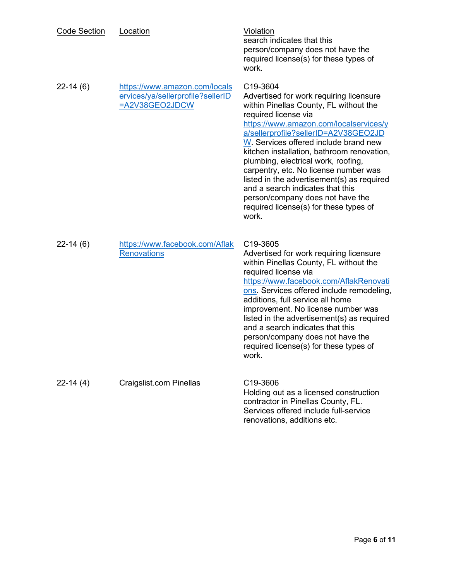| <b>Code Section</b> | Location                                                                             | <b>Violation</b><br>search indicates that this<br>person/company does not have the<br>required license(s) for these types of<br>work.                                                                                                                                                                                                                                                                                                                                                                                                                   |
|---------------------|--------------------------------------------------------------------------------------|---------------------------------------------------------------------------------------------------------------------------------------------------------------------------------------------------------------------------------------------------------------------------------------------------------------------------------------------------------------------------------------------------------------------------------------------------------------------------------------------------------------------------------------------------------|
| $22-14(6)$          | https://www.amazon.com/locals<br>ervices/ya/sellerprofile?sellerID<br>=A2V38GEO2JDCW | C19-3604<br>Advertised for work requiring licensure<br>within Pinellas County, FL without the<br>required license via<br>https://www.amazon.com/localservices/y<br>a/sellerprofile?sellerID=A2V38GEO2JD<br>W. Services offered include brand new<br>kitchen installation, bathroom renovation,<br>plumbing, electrical work, roofing,<br>carpentry, etc. No license number was<br>listed in the advertisement(s) as required<br>and a search indicates that this<br>person/company does not have the<br>required license(s) for these types of<br>work. |
| $22-14(6)$          | https://www.facebook.com/Aflak<br><b>Renovations</b>                                 | C <sub>19</sub> -3605<br>Advertised for work requiring licensure<br>within Pinellas County, FL without the<br>required license via<br>https://www.facebook.com/AflakRenovati<br>ons. Services offered include remodeling,<br>additions, full service all home<br>improvement. No license number was<br>listed in the advertisement(s) as required<br>and a search indicates that this<br>person/company does not have the<br>required license(s) for these types of<br>work.                                                                            |
| $22-14(4)$          | Craigslist.com Pinellas                                                              | C19-3606<br>Holding out as a licensed construction<br>contractor in Pinellas County, FL.<br>Services offered include full-service<br>renovations, additions etc.                                                                                                                                                                                                                                                                                                                                                                                        |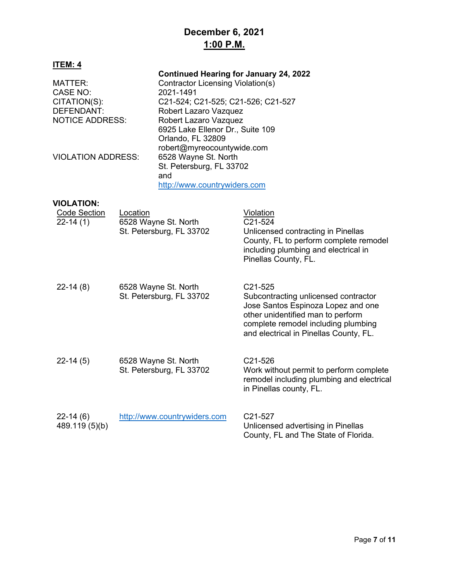## **December 6, 2021 1:00 P.M.**

| ITEM: 4                   |                                   |                                               |  |
|---------------------------|-----------------------------------|-----------------------------------------------|--|
|                           |                                   | <b>Continued Hearing for January 24, 2022</b> |  |
| MATTER:                   | Contractor Licensing Violation(s) |                                               |  |
| CASE NO:                  | 2021-1491                         |                                               |  |
| CITATION(S):              |                                   | C21-524; C21-525; C21-526; C21-527            |  |
| DEFENDANT:                | Robert Lazaro Vazquez             |                                               |  |
| <b>NOTICE ADDRESS:</b>    | Robert Lazaro Vazquez             |                                               |  |
|                           |                                   | 6925 Lake Ellenor Dr., Suite 109              |  |
|                           | Orlando, FL 32809                 |                                               |  |
|                           |                                   | robert@myreocountywide.com                    |  |
| <b>VIOLATION ADDRESS:</b> |                                   | 6528 Wayne St. North                          |  |
|                           |                                   | St. Petersburg, FL 33702                      |  |
|                           | and                               |                                               |  |
|                           |                                   | http://www.countrywiders.com                  |  |
|                           |                                   |                                               |  |
| <b>VIOLATION:</b>         |                                   |                                               |  |
| Code Section<br>Location  |                                   | Violation                                     |  |
| $22 - 14(1)$              | 6528 Wayne St. North              | C <sub>21</sub> -524                          |  |
|                           | St. Petersburg, FL 33702          | Unlicensed contracting in Pinellas            |  |
|                           |                                   | County, FL to perform complete remodel        |  |
|                           |                                   | including plumbing and electrical in          |  |

| $22-14(8)$                   | 6528 Wayne St. North<br>St. Petersburg, FL 33702 | C <sub>21</sub> -525<br>Subcontracting unlicensed contractor<br>Jose Santos Espinoza Lopez and one<br>other unidentified man to perform<br>complete remodel including plumbing<br>and electrical in Pinellas County, FL. |
|------------------------------|--------------------------------------------------|--------------------------------------------------------------------------------------------------------------------------------------------------------------------------------------------------------------------------|
| $22-14(5)$                   | 6528 Wayne St. North<br>St. Petersburg, FL 33702 | C <sub>21</sub> -526<br>Work without permit to perform complete<br>remodel including plumbing and electrical<br>in Pinellas county, FL.                                                                                  |
| $22-14(6)$<br>489.119 (5)(b) | http://www.countrywiders.com                     | C <sub>21</sub> -527<br>Unlicensed advertising in Pinellas                                                                                                                                                               |

Pinellas County, FL.

County, FL and The State of Florida.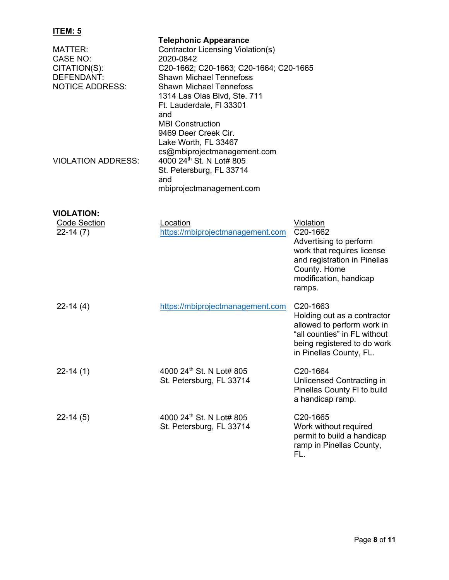| MATTER:<br><b>CASE NO:</b><br>CITATION(S):<br>DEFENDANT:<br><b>NOTICE ADDRESS:</b> | <b>Telephonic Appearance</b><br>Contractor Licensing Violation(s)<br>2020-0842<br>C20-1662; C20-1663; C20-1664; C20-1665<br><b>Shawn Michael Tennefoss</b><br><b>Shawn Michael Tennefoss</b><br>1314 Las Olas Blvd, Ste. 711<br>Ft. Lauderdale, FI 33301<br>and<br><b>MBI Construction</b> |                                                                                                                                                                              |
|------------------------------------------------------------------------------------|--------------------------------------------------------------------------------------------------------------------------------------------------------------------------------------------------------------------------------------------------------------------------------------------|------------------------------------------------------------------------------------------------------------------------------------------------------------------------------|
| <b>VIOLATION ADDRESS:</b>                                                          | 9469 Deer Creek Cir.<br>Lake Worth, FL 33467<br>cs@mbiprojectmanagement.com<br>4000 24th St. N Lot# 805<br>St. Petersburg, FL 33714<br>and<br>mbiprojectmanagement.com                                                                                                                     |                                                                                                                                                                              |
|                                                                                    |                                                                                                                                                                                                                                                                                            |                                                                                                                                                                              |
| <b>VIOLATION:</b><br><b>Code Section</b>                                           | Location                                                                                                                                                                                                                                                                                   | Violation                                                                                                                                                                    |
| $22-14(7)$                                                                         | https://mbiprojectmanagement.com                                                                                                                                                                                                                                                           | C20-1662<br>Advertising to perform<br>work that requires license<br>and registration in Pinellas<br>County. Home<br>modification, handicap<br>ramps.                         |
| $22-14(4)$                                                                         | https://mbiprojectmanagement.com                                                                                                                                                                                                                                                           | C <sub>20</sub> -1663<br>Holding out as a contractor<br>allowed to perform work in<br>"all counties" in FL without<br>being registered to do work<br>in Pinellas County, FL. |
| $22-14(1)$                                                                         | 4000 24th St. N Lot# 805<br>St. Petersburg, FL 33714                                                                                                                                                                                                                                       | C20-1664<br>Unlicensed Contracting in<br>Pinellas County FI to build<br>a handicap ramp.                                                                                     |
| $22-14(5)$                                                                         | 4000 24th St. N Lot# 805<br>St. Petersburg, FL 33714                                                                                                                                                                                                                                       | C20-1665<br>Work without required<br>permit to build a handicap<br>ramp in Pinellas County,<br>FL.                                                                           |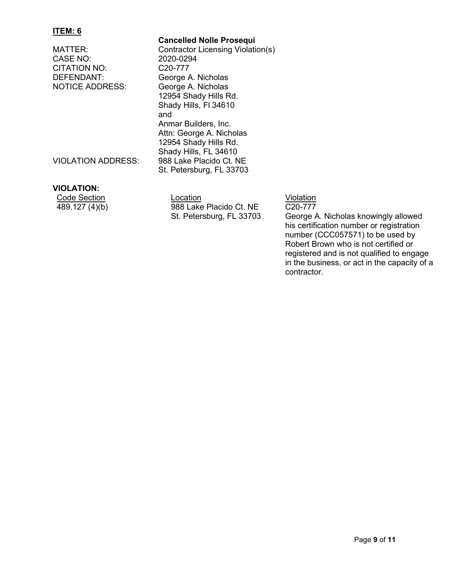**Cancelled Nolle Prosequi** MATTER: Contractor Licensing Violation(s)<br>CASE NO: 2020-0294 CASE NO: CITATION NO: C20-777 DEFENDANT: George A. Nicholas<br>NOTICE ADDRESS: George A. Nicholas George A. Nicholas 12954 Shady Hills Rd. Shady Hills, Fl 34610 and Anmar Builders, Inc. Attn: George A. Nicholas 12954 Shady Hills Rd. Shady Hills, FL 34610 VIOLATION ADDRESS: 988 Lake Placido Ct. NE St. Petersburg, FL 33703

#### **VIOLATION:**

| Code Section   |  |
|----------------|--|
| 489.127 (4)(b) |  |

Location **Contact Section** Violation  $(4)(b)$  988 Lake Placido Ct. NE St. Petersburg, FL 33703

C20-777

George A. Nicholas knowingly allowed his certification number or registration number (CCC057571) to be used by Robert Brown who is not certified or registered and is not qualified to engage in the business, or act in the capacity of a contractor.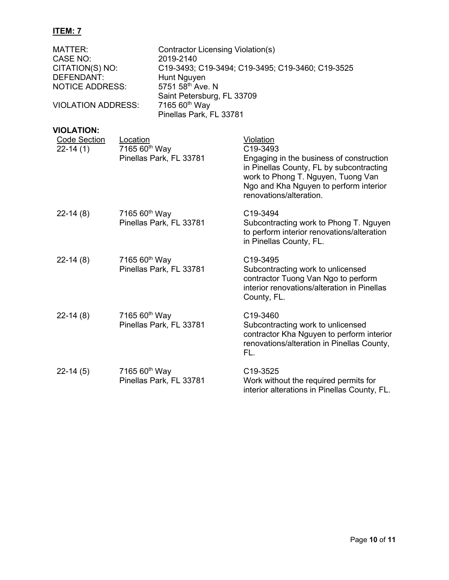| MATTER:<br>CASE NO:<br>CITATION(S) NO:<br>DEFENDANT:<br><b>NOTICE ADDRESS:</b><br><b>VIOLATION ADDRESS:</b> |                                                      | Contractor Licensing Violation(s)<br>2019-2140<br>Hunt Nguyen<br>5751 58th Ave. N<br>Saint Petersburg, FL 33709<br>7165 60 <sup>th</sup> Way | C19-3493; C19-3494; C19-3495; C19-3460; C19-3525                                                                                                                                                                         |
|-------------------------------------------------------------------------------------------------------------|------------------------------------------------------|----------------------------------------------------------------------------------------------------------------------------------------------|--------------------------------------------------------------------------------------------------------------------------------------------------------------------------------------------------------------------------|
|                                                                                                             |                                                      | Pinellas Park, FL 33781                                                                                                                      |                                                                                                                                                                                                                          |
| <b>VIOLATION:</b><br><b>Code Section</b><br>$22-14(1)$                                                      | Location<br>7165 60 <sup>th</sup> Way                | Pinellas Park, FL 33781                                                                                                                      | Violation<br>C19-3493<br>Engaging in the business of construction<br>in Pinellas County, FL by subcontracting<br>work to Phong T. Nguyen, Tuong Van<br>Ngo and Kha Nguyen to perform interior<br>renovations/alteration. |
| $22-14(8)$                                                                                                  | 7165 60 <sup>th</sup> Way<br>Pinellas Park, FL 33781 |                                                                                                                                              | C19-3494<br>Subcontracting work to Phong T. Nguyen<br>to perform interior renovations/alteration<br>in Pinellas County, FL.                                                                                              |
| $22-14(8)$                                                                                                  | 7165 60 <sup>th</sup> Way                            | Pinellas Park, FL 33781                                                                                                                      | C19-3495<br>Subcontracting work to unlicensed<br>contractor Tuong Van Ngo to perform<br>interior renovations/alteration in Pinellas<br>County, FL.                                                                       |
| $22-14(8)$                                                                                                  | 7165 60 <sup>th</sup> Way                            | Pinellas Park, FL 33781                                                                                                                      | C19-3460<br>Subcontracting work to unlicensed<br>contractor Kha Nguyen to perform interior<br>renovations/alteration in Pinellas County,<br>FL.                                                                          |
| $22-14(5)$                                                                                                  | 7165 60 <sup>th</sup> Way                            | Pinellas Park, FL 33781                                                                                                                      | C19-3525<br>Work without the required permits for<br>interior alterations in Pinellas County, FL.                                                                                                                        |